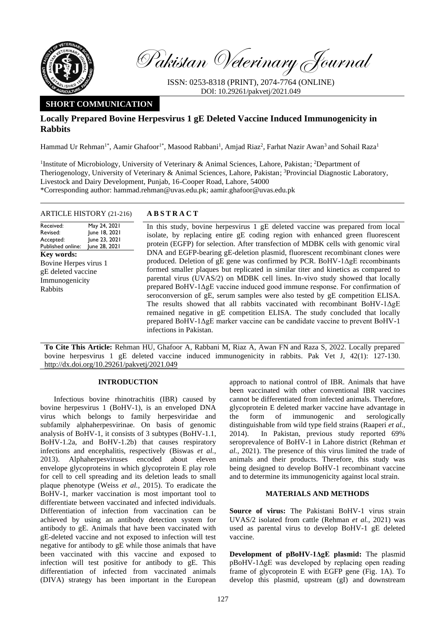

Pakistan Veterinary Journal

ISSN: 0253-8318 (PRINT), 2074-7764 (ONLINE) DOI: 10.29261/pakvetj/2021.049

# **SHORT COMMUNICATION**

# **Locally Prepared Bovine Herpesvirus 1 gE Deleted Vaccine Induced Immunogenicity in Rabbits**

Hammad Ur Rehman<sup>1\*</sup>, Aamir Ghafoor<sup>1\*</sup>, Masood Rabbani<sup>1</sup>, Amjad Riaz<sup>2</sup>, Farhat Nazir Awan<sup>3</sup> and Sohail Raza<sup>1</sup>

<sup>1</sup>Institute of Microbiology, University of Veterinary & Animal Sciences, Lahore, Pakistan; <sup>2</sup>Department of Theriogenology, University of Veterinary & Animal Sciences, Lahore, Pakistan; <sup>3</sup>Provincial Diagnostic Laboratory, Livestock and Dairy Development, Punjab, 16-Cooper Road, Lahore, 54000 \*Corresponding author: hammad.rehman@uvas.edu.pk; aamir.ghafoor@uvas.edu.pk

## ARTICLE HISTORY (21-216) **A B S T R A C T**

Received: Revised: Accepted: Published online: May 24, 2021 June 18, 2021 June 23, 2021 June 28, 2021 **Key words:**  Bovine Herpes virus 1 gE deleted vaccine Immunogenicity Rabbits

In this study, bovine herpesvirus 1 gE deleted vaccine was prepared from local isolate, by replacing entire gE coding region with enhanced green fluorescent protein (EGFP) for selection. After transfection of MDBK cells with genomic viral DNA and EGFP-bearing gE-deletion plasmid, fluorescent recombinant clones were produced. Deletion of gE gene was confirmed by PCR. BoHV-1ΔgE recombinants formed smaller plaques but replicated in similar titer and kinetics as compared to parental virus (UVAS/2) on MDBK cell lines. In-vivo study showed that locally prepared BoHV-1ΔgE vaccine induced good immune response. For confirmation of seroconversion of gE, serum samples were also tested by gE competition ELISA. The results showed that all rabbits vaccinated with recombinant BoHV-1ΔgE remained negative in gE competition ELISA. The study concluded that locally prepared BoHV-1ΔgE marker vaccine can be candidate vaccine to prevent BoHV-1 infections in Pakistan.

**To Cite This Article:** Rehman HU, Ghafoor A, Rabbani M, Riaz A, Awan FN and Raza S, 2022. Locally prepared bovine herpesvirus 1 gE deleted vaccine induced immunogenicity in rabbits. Pak Vet J, 42(1): 127-130. [http://dx.doi.org/10.29261/pakvetj/2021.049](http://pvj.com.pk/pdf-files/42_1/127-130.pdf)

# **INTRODUCTION**

Infectious bovine rhinotrachitis (IBR) caused by bovine herpesvirus 1 (BoHV-1), is an enveloped DNA virus which belongs to family herpesviridae and subfamily alphaherpesvirinae. On basis of genomic analysis of BoHV-1, it consists of 3 subtypes (BoHV-1.1, BoHV-1.2a, and BoHV-1.2b) that causes respiratory infections and encephalitis, respectively [\(Biswas](#page-3-0) *et al.*, [2013\)](#page-3-0). Alphaherpesviruses encoded about eleven envelope glycoproteins in which glycoprotein E play role for cell to cell spreading and its deletion leads to small plaque phenotype (Weiss *et al.*[, 2015\)](#page-3-1). To eradicate the BoHV-1, marker vaccination is most important tool to differentiate between vaccinated and infected individuals. Differentiation of infection from vaccination can be achieved by using an antibody detection system for antibody to gE. Animals that have been vaccinated with gE-deleted vaccine and not exposed to infection will test negative for antibody to gE while those animals that have been vaccinated with this vaccine and exposed to infection will test positive for antibody to gE. This differentiation of infected from vaccinated animals (DIVA) strategy has been important in the European

approach to national control of IBR. Animals that have been vaccinated with other conventional IBR vaccines cannot be differentiated from infected animals. Therefore, glycoprotein E deleted marker vaccine have advantage in the form of immunogenic and serologically distinguishable from wild type field strains [\(Raaperi](#page-3-2) *et al.*, [2014\)](#page-3-2). In Pakistan, previous study reported 69% seroprevalence of BoHV-1 in Lahore district [\(Rehman](#page-3-3) *et al.*[, 2021\)](#page-3-3). The presence of this virus limited the trade of animals and their products. Therefore, this study was being designed to develop BoHV-1 recombinant vaccine and to determine its immunogenicity against local strain.

## **MATERIALS AND METHODS**

**Source of virus:** The Pakistani BoHV-1 virus strain UVAS/2 isolated from cattle [\(Rehman](#page-3-3) *et al.*, 2021) was used as parental virus to develop BoHV-1 gE deleted vaccine.

**Development of pBoHV-1ΔgE plasmid:** The plasmid pBoHV-1ΔgE was developed by replacing open reading frame of glycoprotein E with EGFP gene (Fig. 1A). To develop this plasmid, upstream (gI) and downstream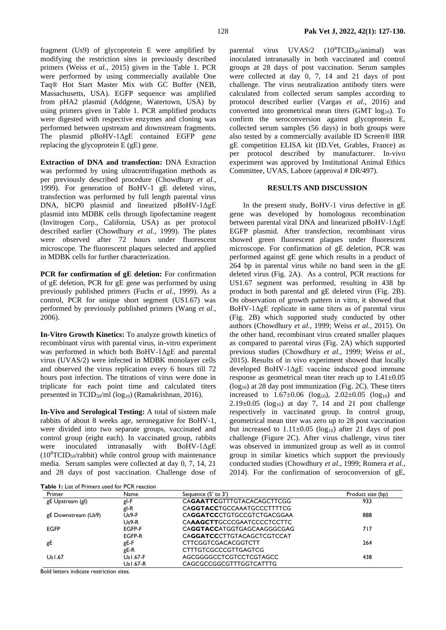fragment (Us9) of glycoprotein E were amplified by modifying the restriction sites in previously described primers (Weiss *et al.*[, 2015\)](#page-3-1) given in the Table 1. PCR were performed by using commercially available One Taq® Hot Start Master Mix with GC Buffer (NEB, Massachusetts, USA). EGFP sequence was amplified from pHA2 plasmid (Addgene, Watertown, USA) by using primers given in Table 1. PCR amplified products were digested with respective enzymes and cloning was performed between upstream and downstream fragments. The plasmid pBoHV-1ΔgE contained EGFP gene replacing the glycoprotein E (gE) gene.

**Extraction of DNA and transfection:** DNA Extraction was performed by using ultracentrifugation methods as per previously described procedure [\(Chowdhury](#page-3-4) *et al.*, [1999\)](#page-3-4). For generation of BoHV-1 gE deleted virus, transfection was performed by full length parental virus DNA, bICP0 plasmid and linearized pBoHV-1ΔgE plasmid into MDBK cells through lipofectamine reagent (Invitrogen Corp., California, USA) as per protocol described earlier [\(Chowdhury](#page-3-4) *et al.*, 1999). The plates were observed after 72 hours under fluorescent microscope. The fluorescent plaques selected and applied in MDBK cells for further characterization.

**PCR for confirmation of gE deletion:** For confirmation of gE deletion, PCR for gE gene was performed by using previously published primers (Fuchs *et al.*[, 1999\)](#page-3-0). As a control, PCR for unique short segment (US1.67) was performed by previously published primers [\(Wang](#page-3-1) *et al.*, [2006\)](#page-3-1).

**In-Vitro Growth Kinetics:** To analyze growth kinetics of recombinant virus with parental virus, in-vitro experiment was performed in which both BoHV-1ΔgE and parental virus (UVAS/2) were infected in MDBK monolayer cells and observed the virus replication every 6 hours till 72 hours post infection. The titrations of virus were done in triplicate for each point time and calculated titers presented in  $TCID_{50}/ml (log_{10})$  [\(Ramakrishnan, 2016\)](#page-3-0).

**In-Vivo and Serological Testing:** A total of sixteen male rabbits of about 8 weeks age, seronegative for BoHV-1, were divided into two separate groups, vaccinated and control group (eight each). In vaccinated group, rabbits were inoculated intranasally with BoHV-1ΔgE  $(10^{8}TCID_{50}/rabbit)$  while control group with maintenance media. Serum samples were collected at day 0, 7, 14, 21 and 28 days of post vaccination. Challenge dose of

parental virus  $UVAS/2$   $(10^8TCID<sub>50</sub>/animal)$  was inoculated intranasally in both vaccinated and control groups at 28 days of post vaccination. Serum samples were collected at day 0, 7, 14 and 21 days of post challenge. The virus neutralization antibody titers were calculated from collected serum samples according to protocol described earlier (Vargas *et al.*[, 2016\)](#page-3-5) and converted into geometrical mean titers (GMT log<sub>10</sub>). To confirm the seroconversion against glycoprotein E, collected serum samples (56 days) in both groups were also tested by a commercially available ID Screen® IBR gE competition ELISA kit (ID.Vet, Grables, France) as per protocol described by manufacturer. In-vivo experiment was approved by Institutional Animal Ethics Committee, UVAS, Lahore (approval # DR/497).

### **RESULTS AND DISCUSSION**

In the present study, BoHV-1 virus defective in gE gene was developed by homologous recombination between parental viral DNA and linearized pBoHV-1ΔgE EGFP plasmid. After transfection, recombinant virus showed green fluorescent plaques under fluorescent microscope. For confirmation of gE deletion, PCR was performed against gE gene which results in a product of 264 bp in parental virus while no band seen in the gE deleted virus (Fig. 2A). As a control, PCR reactions for US1.67 segment was performed, resulting in 438 bp product in both parental and gE deleted virus (Fig. 2B). On observation of growth pattern in vitro, it showed that BoHV-1ΔgE replicate in same titers as of parental virus (Fig. 2B) which supported study conducted by other authors [\(Chowdhury](#page-3-4) *et al.*, 1999; Weiss *et al.*[, 2015\)](#page-3-1). On the other hand, recombinant virus created smaller plaques as compared to parental virus (Fig. 2A) which supported previous studies [\(Chowdhury](#page-3-4) *et al.*, 1999; [Weiss](#page-3-1) *et al.*, [2015\)](#page-3-1). Results of in vivo experiment showed that locally developed BoHV-1ΔgE vaccine induced good immune response as geometrical mean titer reach up to 1.41±0.05  $(log_{10})$  at 28 day post immunization (Fig. 2C). These titers increased to  $1.67 \pm 0.06$  (log<sub>10</sub>),  $2.02 \pm 0.05$  (log<sub>10</sub>) and  $2.19\pm0.05$  (log<sub>10</sub>) at day 7, 14 and 21 post challenge respectively in vaccinated group. In control group, geometrical mean titer was zero up to 28 post vaccination but increased to  $1.11 \pm 0.05$  (log<sub>10</sub>) after 21 days of post challenge (Figure 2C). After virus challenge, virus titer was observed in immunized group as well as in control group in similar kinetics which support the previously conducted studies [\(Chowdhury](#page-3-4) *et al.*, 1999[; Romera](#page-3-6) *et al.*, [2014\)](#page-3-6). For the confirmation of seroconversion of gE,

|  |  | <b>Table 1:</b> List of Primers used for PCR reaction |  |
|--|--|-------------------------------------------------------|--|
|  |  |                                                       |  |

| Primer              | Name       | Sequence (5' to 3')        | Product size (bp) |
|---------------------|------------|----------------------------|-------------------|
| gE Upstream (gl)    | gl-F       | CAGAATTCGTTTGTACACAGCTTCGG | 933               |
|                     | gl-R       | CAGGTACCTGCCAAATGCCCTTTTCG |                   |
| gE Downstream (Us9) | $Us9-F$    | CAGGATCCCTGTGCCGTCTGACGGAA | 888               |
|                     | Us9-R      | CAAAGCTTGCCCGAATCCCCTCCTTC |                   |
| <b>EGFP</b>         | EGFP-F     | CAGGTACCATGGTGAGCAAGGGCGAG | 717               |
|                     | EGFP-R     | CAGGATCCCTTGTACAGCTCGTCCAT |                   |
| gE                  | gE-F       | <b>CTTCGGTCGACACGGTCTT</b> | 264               |
|                     | gE-R       | CTTTGTCGCCCGTTGAGTCG       |                   |
| Us1.67              | Us I.67-F  | AGCGGGGCCTCGTCCTCGTAGCC    | 438               |
|                     | Us I .67-R | CAGCGCCGGCGTTTGGTCATTTG    |                   |

Bold letters indicate restriction sites.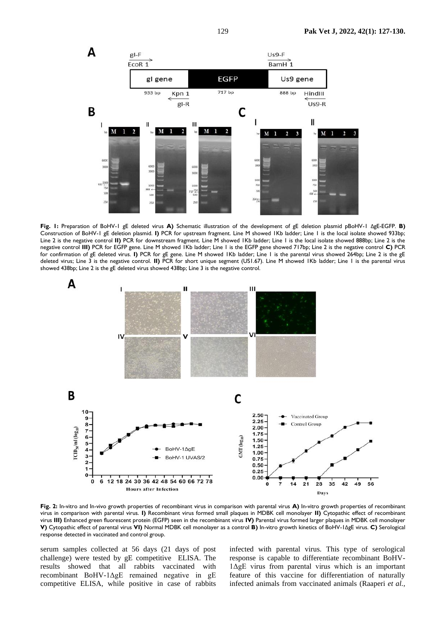

**Fig. 1:** Preparation of BoHV-1 gE deleted virus **A)** Schematic illustration of the development of gE deletion plasmid pBoHV-1 ΔgE-EGFP. **B)**  Construction of BoHV-1 gE deletion plasmid. **I)** PCR for upstream fragment. Line M showed 1Kb ladder; Line 1 is the local isolate showed 933bp; Line 2 is the negative control **II)** PCR for downstream fragment. Line M showed 1Kb ladder; Line 1 is the local isolate showed 888bp; Line 2 is the negative control **III)** PCR for EGFP gene. Line M showed 1Kb ladder; Line 1 is the EGFP gene showed 717bp; Line 2 is the negative control **C)** PCR for confirmation of gE deleted virus. **I)** PCR for gE gene. Line M showed 1Kb ladder; Line 1 is the parental virus showed 264bp; Line 2 is the gE deleted virus; Line 3 is the negative control. **II)** PCR for short unique segment (US1.67). Line M showed 1Kb ladder; Line 1 is the parental virus showed 438bp; Line 2 is the gE deleted virus showed 438bp; Line 3 is the negative control.



**Fig. 2:** In-vitro and In-vivo growth properties of recombinant virus in comparison with parental virus **A)** In-vitro growth properties of recombinant virus in comparison with parental virus. **I)** Recombinant virus formed small plaques in MDBK cell monolayer **II)** Cytopathic effect of recombinant virus **III)** Enhanced green fluorescent protein (EGFP) seen in the recombinant virus **IV)** Parental virus formed larger plaques in MDBK cell monolayer **V)** Cytopathic effect of parental virus **VI)** Normal MDBK cell monolayer as a control **B)** In-vitro growth kinetics of BoHV-1ΔgE virus. **C)** Serological response detected in vaccinated and control group.

serum samples collected at 56 days (21 days of post challenge) were tested by gE competitive ELISA. The results showed that all rabbits vaccinated with recombinant BoHV-1ΔgE remained negative in gE competitive ELISA, while positive in case of rabbits

infected with parental virus. This type of serological response is capable to differentiate recombinant BoHV-1ΔgE virus from parental virus which is an important feature of this vaccine for differentiation of naturally infected animals from vaccinated animals [\(Raaperi](#page-3-2) *et al.*,